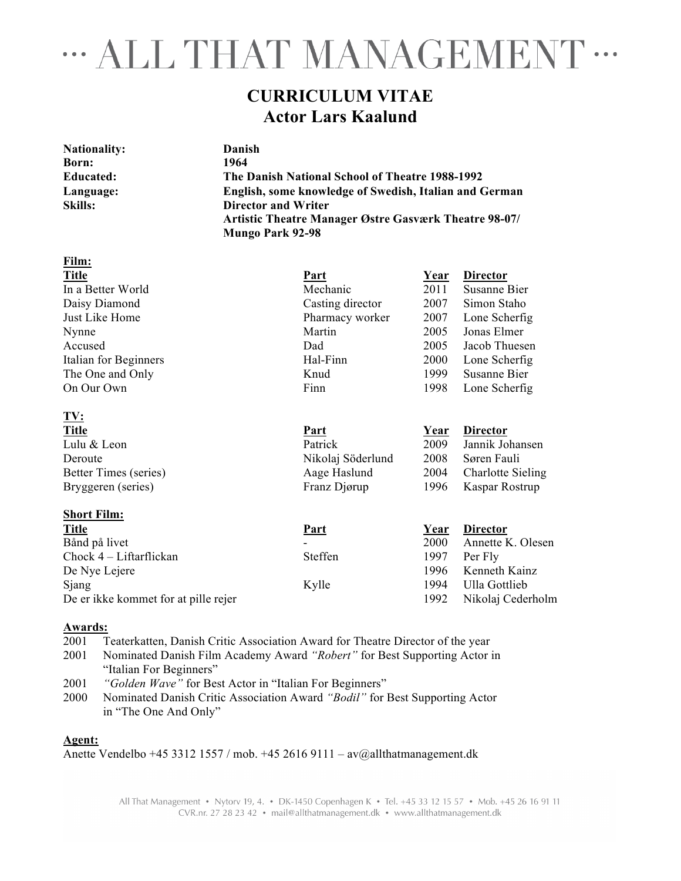## **MALL THAT MANAGEMENT ···**

### **CURRICULUM VITAE Actor Lars Kaalund**

| <b>Nationality:</b> | Danish                                                       |
|---------------------|--------------------------------------------------------------|
| Born:               | 1964                                                         |
| <b>Educated:</b>    | The Danish National School of Theatre 1988-1992              |
| Language:           | English, some knowledge of Swedish, Italian and German       |
| Skills:             | <b>Director and Writer</b>                                   |
|                     | <b>Artistic Theatre Manager Østre Gasværk Theatre 98-07/</b> |
|                     | <b>Mungo Park 92-98</b>                                      |
|                     |                                                              |

| <b>Part</b>       | <u>Year</u> | <b>Director</b> |
|-------------------|-------------|-----------------|
| Mechanic          | 2011        | Susanne Bier    |
| Casting director  | 2007        | Simon Staho     |
| Pharmacy worker   | 2007        | Lone Scherfig   |
| Martin            | 2005        | Jonas Elmer     |
| Dad               | 2005        | Jacob Thuesen   |
| Hal-Finn          | 2000        | Lone Scherfig   |
| Knud              | 1999        | Susanne Bier    |
| Finn              | 1998        | Lone Scherfig   |
|                   |             |                 |
| Part              | Year        | <b>Director</b> |
| Patrick           | 2009        | Jannik Johansen |
| Nikolaj Söderlund | 2008        | Søren Fauli     |
|                   |             |                 |

| <b>Short Film:</b>                   |                |      |                   |
|--------------------------------------|----------------|------|-------------------|
| <b>Title</b>                         | <u>Part</u>    | Year | <b>Director</b>   |
| Bånd på livet                        |                | 2000 | Annette K. Olesen |
| Chock $4$ – Liftarflickan            | <b>Steffen</b> | 1997 | Per Fly           |
| De Nye Lejere                        |                | 1996 | Kenneth Kainz     |
| Sjang                                | Kylle          | 1994 | Ulla Gottlieb     |
| De er ikke kommet for at pille rejer |                | 1992 | Nikolaj Cederholm |

Better Times (series) **Aage Haslund** 2004 Charlotte Sieling Bryggeren (series) Franz Djørup 1996 Kaspar Rostrup

#### **Awards:**

**Film:**

2001 Teaterkatten, Danish Critic Association Award for Theatre Director of the year

- 2001 Nominated Danish Film Academy Award *"Robert"* for Best Supporting Actor in "Italian For Beginners"
- 2001 *"Golden Wave"* for Best Actor in "Italian For Beginners"
- 2000 Nominated Danish Critic Association Award *"Bodil"* for Best Supporting Actor in "The One And Only"

#### **Agent:**

Anette Vendelbo +45 3312 1557 / mob. +45 2616 9111 – av@allthatmanagement.dk